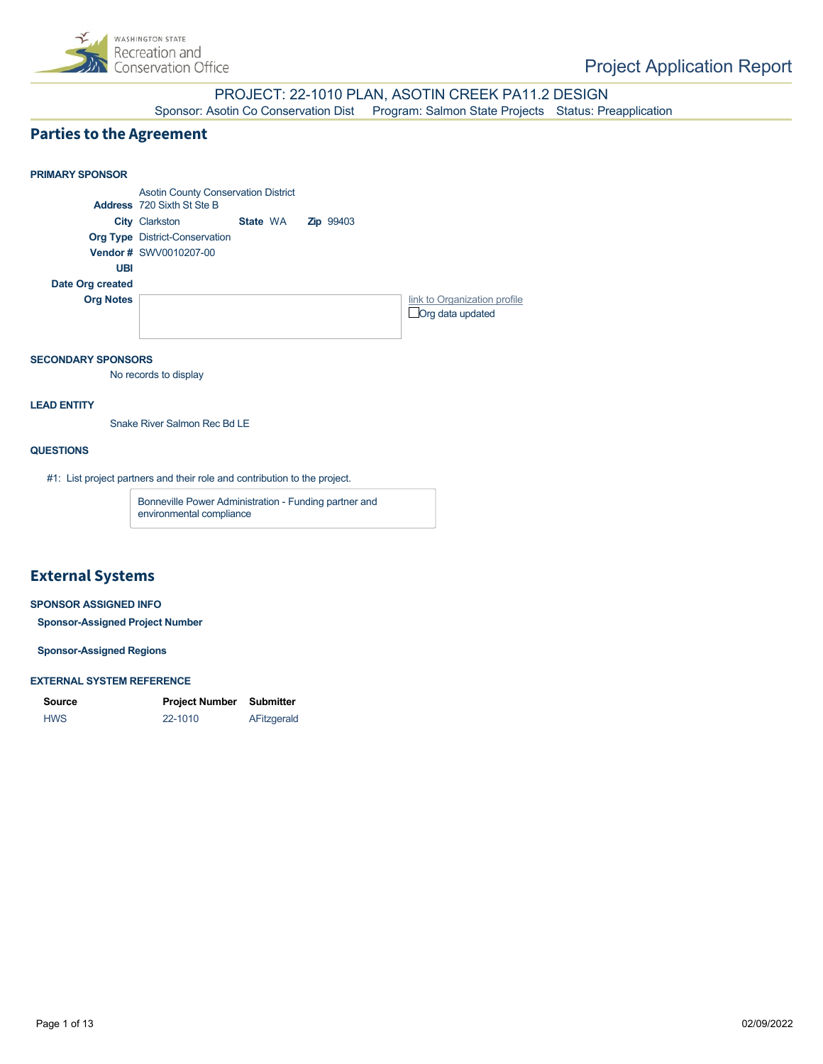

PROJECT: 22-1010 PLAN, ASOTIN CREEK PA11.2 DESIGN Sponsor: Asotin Co Conservation Dist Program: Salmon State Projects Status: Preapplication

### **Parties to the Agreement**

### **PRIMARY SPONSOR** Asotin County Conservation District **Address** 720 Sixth St Ste B **City** Clarkston **State** WA **Zip** 99403 **Org Type** District-Conservation **Vendor #** SWV0010207-00 **UBI Date Org created Org Notes [link to Organization profile](https://secure.rco.wa.gov/PRISM/Sponsor/My/Organization/Index/1109) Org data updated** State WA

#### **SECONDARY SPONSORS**

No records to display

#### **LEAD ENTITY**

Snake River Salmon Rec Bd LE

#### **QUESTIONS**

#1: List project partners and their role and contribution to the project.

Bonneville Power Administration - Funding partner and environmental compliance

### **External Systems**

#### **SPONSOR ASSIGNED INFO**

**Sponsor-Assigned Project Number**

**Sponsor-Assigned Regions**

#### **EXTERNAL SYSTEM REFERENCE**

| Source     | <b>Project Number Submitter</b> |             |
|------------|---------------------------------|-------------|
| <b>HWS</b> | 22-1010                         | AFitzgerald |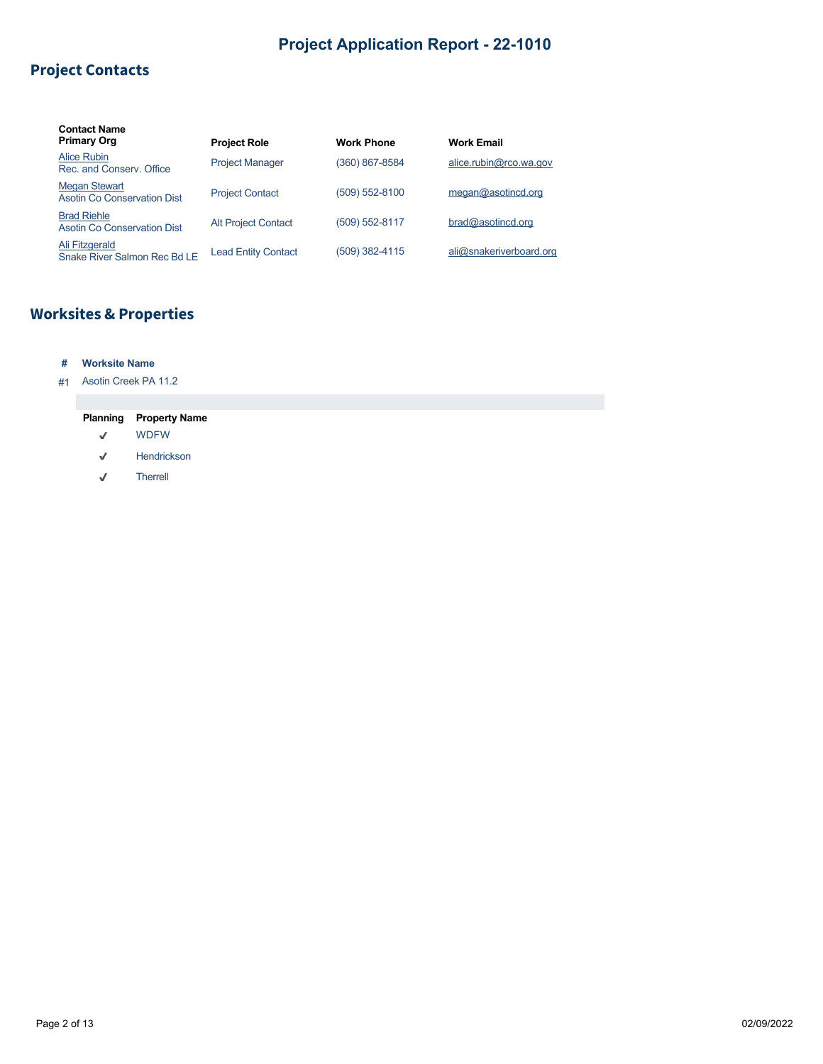## **Project Contacts**

| <b>Contact Name</b><br><b>Primary Org</b>           | <b>Project Role</b>        | <b>Work Phone</b> | <b>Work Email</b>       |
|-----------------------------------------------------|----------------------------|-------------------|-------------------------|
| Alice Rubin<br>Rec. and Conserv. Office             | <b>Project Manager</b>     | (360) 867-8584    | alice.rubin@rco.wa.gov  |
| <b>Megan Stewart</b><br>Asotin Co Conservation Dist | <b>Project Contact</b>     | (509) 552-8100    | meqan@asotincd.org      |
| <b>Brad Riehle</b><br>Asotin Co Conservation Dist   | <b>Alt Project Contact</b> | (509) 552-8117    | bra@asotincd.org        |
| Ali Fitzgerald<br>Snake River Salmon Rec Bd LE      | <b>Lead Entity Contact</b> | (509) 382-4115    | ali@snakeriverboard.org |

# **Worksites & Properties**

### **# Worksite Name**

#1 Asotin Creek PA 11.2

### **Planning Property Name**

- $\checkmark$ WDFW
- Hendrickson  $\checkmark$
- $\checkmark$ Therrell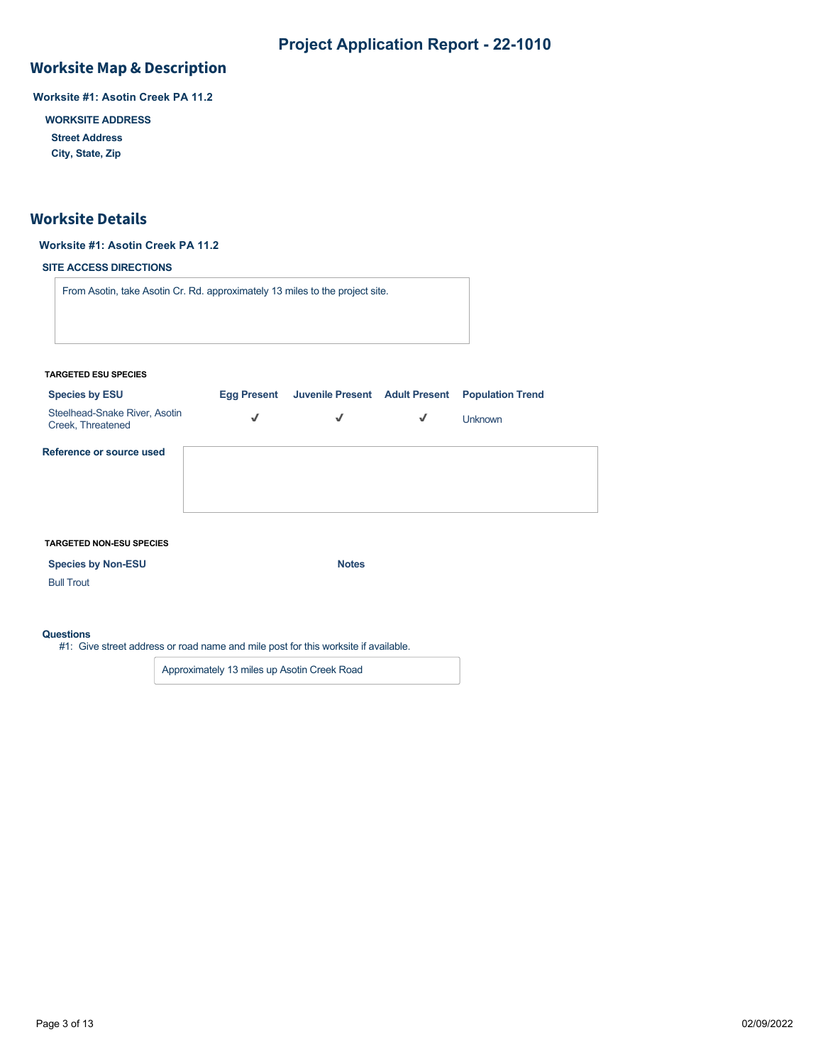## **Worksite Map & Description**

**Worksite #1: Asotin Creek PA 11.2**

**WORKSITE ADDRESS Street Address**

**City, State, Zip**

### **Worksite Details**

### **Worksite #1: Asotin Creek PA 11.2**

### **SITE ACCESS DIRECTIONS**

From Asotin, take Asotin Cr. Rd. approximately 13 miles to the project site.

#### **TARGETED ESU SPECIES**

| <b>Species by ESU</b>                              | <b>Egg Present</b> | Juvenile Present Adult Present |   | <b>Population Trend</b> |
|----------------------------------------------------|--------------------|--------------------------------|---|-------------------------|
| Steelhead-Snake River, Asotin<br>Creek, Threatened | $\checkmark$       | √                              | √ | <b>Unknown</b>          |
| Reference or source used                           |                    |                                |   |                         |

#### **TARGETED NON-ESU SPECIES**

**Species by Non-ESU Notes** 

Bull Trout

#### **Questions**

#1: Give street address or road name and mile post for this worksite if available.

Approximately 13 miles up Asotin Creek Road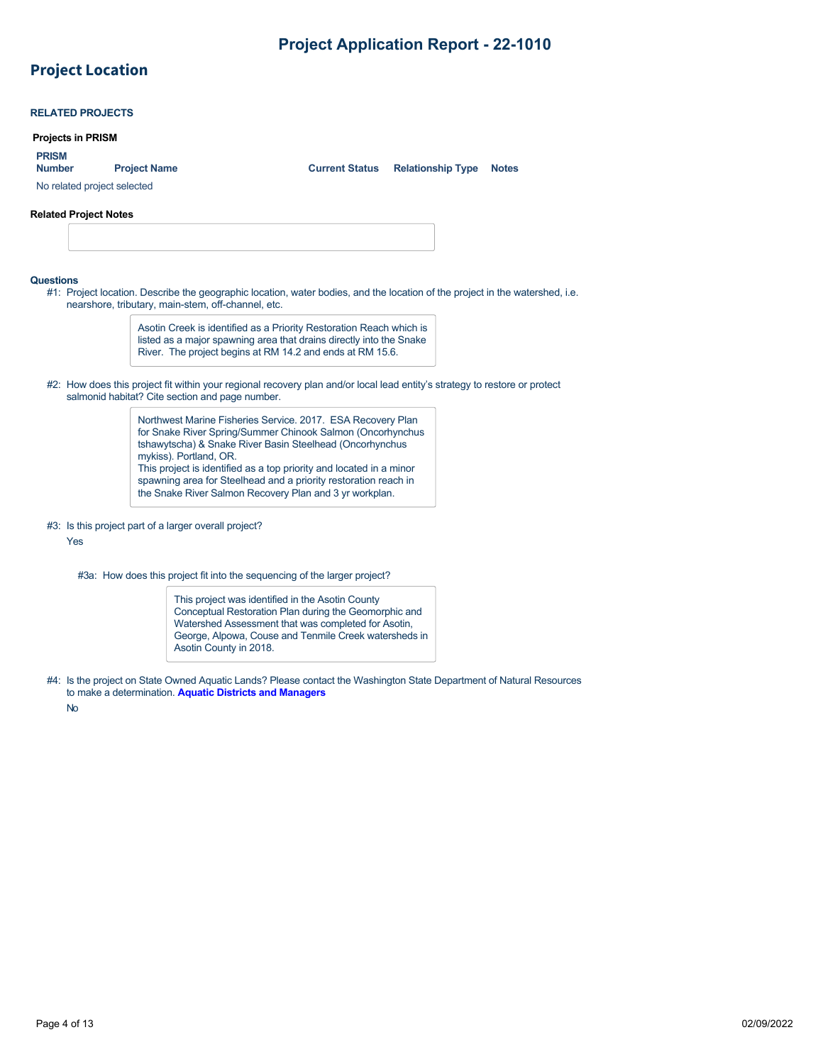## **Project Location**

|                               | <b>Projects in PRISM</b>                                                                                                                      |                                                                                                                                                                                                                                                                     |              |
|-------------------------------|-----------------------------------------------------------------------------------------------------------------------------------------------|---------------------------------------------------------------------------------------------------------------------------------------------------------------------------------------------------------------------------------------------------------------------|--------------|
| <b>PRISM</b><br><b>Number</b> | <b>Project Name</b>                                                                                                                           | <b>Current Status</b><br><b>Relationship Type</b>                                                                                                                                                                                                                   | <b>Notes</b> |
| No related project selected   |                                                                                                                                               |                                                                                                                                                                                                                                                                     |              |
| <b>Related Project Notes</b>  |                                                                                                                                               |                                                                                                                                                                                                                                                                     |              |
|                               |                                                                                                                                               |                                                                                                                                                                                                                                                                     |              |
|                               |                                                                                                                                               |                                                                                                                                                                                                                                                                     |              |
| <b>Questions</b>              | nearshore, tributary, main-stem, off-channel, etc.                                                                                            | #1: Project location. Describe the geographic location, water bodies, and the location of the project in the watershed, i.e.                                                                                                                                        |              |
|                               | River. The project begins at RM 14.2 and ends at RM 15.6.                                                                                     | Asotin Creek is identified as a Priority Restoration Reach which is<br>listed as a major spawning area that drains directly into the Snake                                                                                                                          |              |
|                               | salmonid habitat? Cite section and page number.                                                                                               | #2: How does this project fit within your regional recovery plan and/or local lead entity's strategy to restore or protect                                                                                                                                          |              |
|                               | tshawytscha) & Snake River Basin Steelhead (Oncorhynchus<br>mykiss). Portland, OR.<br>the Snake River Salmon Recovery Plan and 3 yr workplan. | Northwest Marine Fisheries Service. 2017. ESA Recovery Plan<br>for Snake River Spring/Summer Chinook Salmon (Oncorhynchus<br>This project is identified as a top priority and located in a minor<br>spawning area for Steelhead and a priority restoration reach in |              |
|                               |                                                                                                                                               |                                                                                                                                                                                                                                                                     |              |

This project was identified in the Asotin County Conceptual Restoration Plan during the Geomorphic and Watershed Assessment that was completed for Asotin, George, Alpowa, Couse and Tenmile Creek watersheds in Asotin County in 2018.

#4: Is the project on State Owned Aquatic Lands? Please contact the Washington State Department of Natural Resources to make a determination. **[Aquatic Districts and Managers](https://www.dnr.wa.gov/programs-and-services/aquatics/aquatic-districts-and-land-managers-map)**

No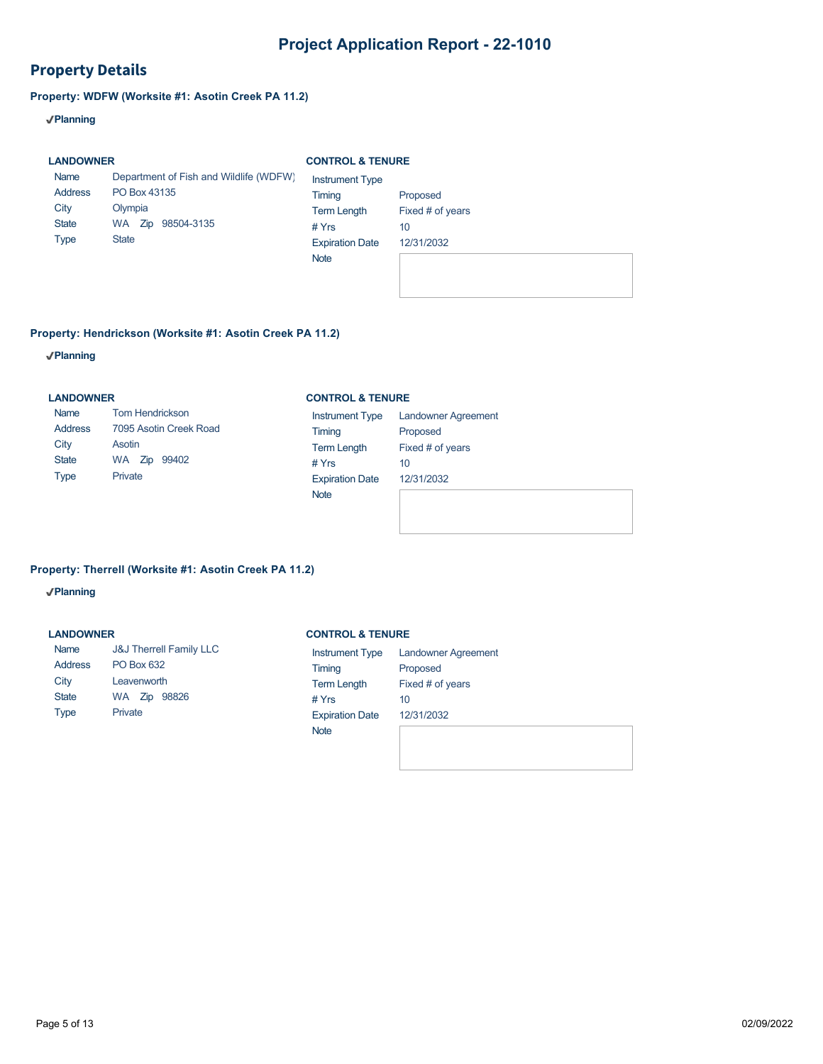## **Property Details**

### **Property: WDFW (Worksite #1: Asotin Creek PA 11.2)**

### **Planning**

| <b>LANDOWNER</b> |                                        | <b>CONTROL &amp; TENURE</b> |                  |
|------------------|----------------------------------------|-----------------------------|------------------|
| Name             | Department of Fish and Wildlife (WDFW) | <b>Instrument Type</b>      |                  |
| <b>Address</b>   | PO Box 43135                           | Timing                      | Proposed         |
| City             | Olympia                                | Term Length                 | Fixed # of years |
| <b>State</b>     | 98504-3135<br><b>WA</b><br>Zip         | # $Yrs$                     | 10               |
| Type             | <b>State</b>                           | <b>Expiration Date</b>      | 12/31/2032       |
|                  |                                        | <b>Note</b>                 |                  |
|                  |                                        |                             |                  |

### **Property: Hendrickson (Worksite #1: Asotin Creek PA 11.2)**

### **Planning**

#### **LANDOWNER**

### **CONTROL & TENURE**

| Name           | <b>Tom Hendrickson</b> | <b>Instrument Type</b> | <b>Landowner Agreement</b> |
|----------------|------------------------|------------------------|----------------------------|
| <b>Address</b> | 7095 Asotin Creek Road | Timing                 | Proposed                   |
| City           | Asotin                 | <b>Term Length</b>     | Fixed # of years           |
| <b>State</b>   | 99402<br>WA Zip        | # $Yrs$                | 10                         |
| <b>Type</b>    | Private                | <b>Expiration Date</b> | 12/31/2032                 |
|                |                        | <b>Note</b>            |                            |

### **Property: Therrell (Worksite #1: Asotin Creek PA 11.2)**

### **Planning**

### **LANDOWNER**

| <b>LANDOWNER</b> |                                    | <b>CONTROL &amp; TENURE</b> |                            |  |
|------------------|------------------------------------|-----------------------------|----------------------------|--|
| Name             | <b>J&amp;J Therrell Family LLC</b> | Instrument Type             | <b>Landowner Agreement</b> |  |
| Address          | PO Box 632                         | Timing                      | Proposed                   |  |
| City             | Leavenworth                        | <b>Term Length</b>          | Fixed # of years           |  |
| <b>State</b>     | WA Zip 98826                       | # $Yrs$                     | 10                         |  |
| <b>Type</b>      | Private                            | <b>Expiration Date</b>      | 12/31/2032                 |  |
|                  |                                    | <b>Note</b>                 |                            |  |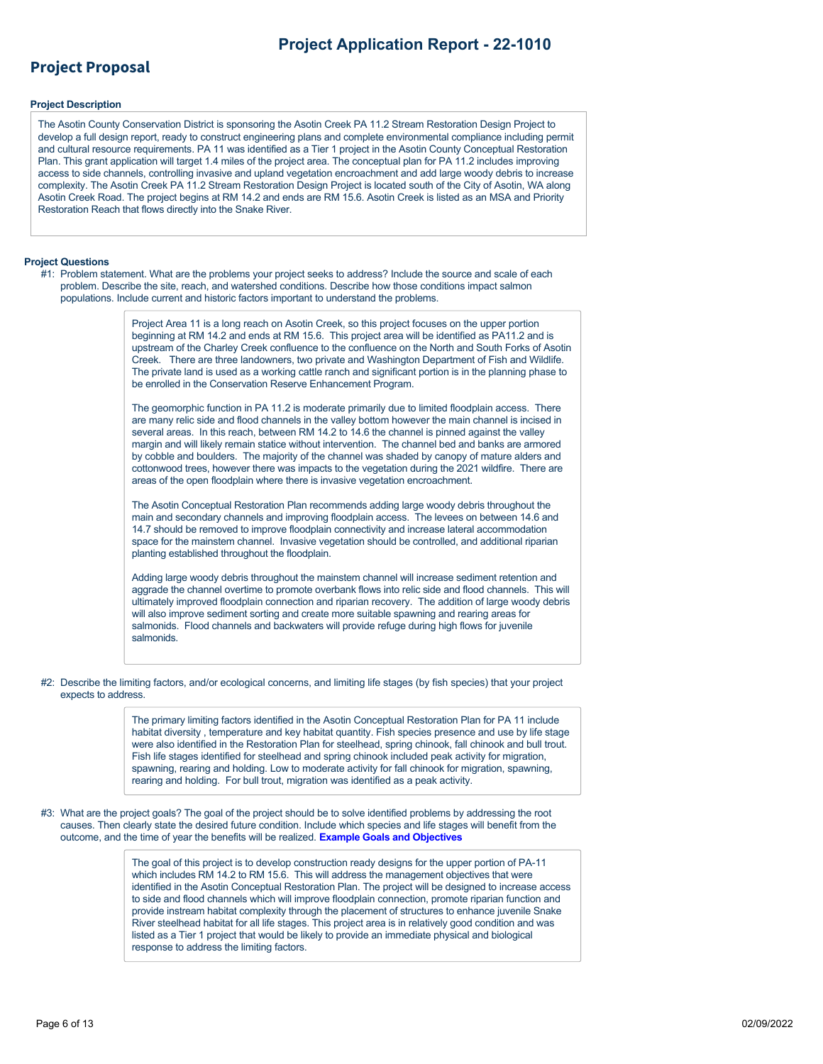## **Project Proposal**

#### **Project Description**

The Asotin County Conservation District is sponsoring the Asotin Creek PA 11.2 Stream Restoration Design Project to develop a full design report, ready to construct engineering plans and complete environmental compliance including permit and cultural resource requirements. PA 11 was identified as a Tier 1 project in the Asotin County Conceptual Restoration Plan. This grant application will target 1.4 miles of the project area. The conceptual plan for PA 11.2 includes improving access to side channels, controlling invasive and upland vegetation encroachment and add large woody debris to increase complexity. The Asotin Creek PA 11.2 Stream Restoration Design Project is located south of the City of Asotin, WA along Asotin Creek Road. The project begins at RM 14.2 and ends are RM 15.6. Asotin Creek is listed as an MSA and Priority Restoration Reach that flows directly into the Snake River.

#### **Project Questions**

#1: Problem statement. What are the problems your project seeks to address? Include the source and scale of each problem. Describe the site, reach, and watershed conditions. Describe how those conditions impact salmon populations. Include current and historic factors important to understand the problems.

> Project Area 11 is a long reach on Asotin Creek, so this project focuses on the upper portion beginning at RM 14.2 and ends at RM 15.6. This project area will be identified as PA11.2 and is upstream of the Charley Creek confluence to the confluence on the North and South Forks of Asotin Creek. There are three landowners, two private and Washington Department of Fish and Wildlife. The private land is used as a working cattle ranch and significant portion is in the planning phase to be enrolled in the Conservation Reserve Enhancement Program.

The geomorphic function in PA 11.2 is moderate primarily due to limited floodplain access. There are many relic side and flood channels in the valley bottom however the main channel is incised in several areas. In this reach, between RM 14.2 to 14.6 the channel is pinned against the valley margin and will likely remain statice without intervention. The channel bed and banks are armored by cobble and boulders. The majority of the channel was shaded by canopy of mature alders and cottonwood trees, however there was impacts to the vegetation during the 2021 wildfire. There are areas of the open floodplain where there is invasive vegetation encroachment.

The Asotin Conceptual Restoration Plan recommends adding large woody debris throughout the main and secondary channels and improving floodplain access. The levees on between 14.6 and 14.7 should be removed to improve floodplain connectivity and increase lateral accommodation space for the mainstem channel. Invasive vegetation should be controlled, and additional riparian planting established throughout the floodplain.

Adding large woody debris throughout the mainstem channel will increase sediment retention and aggrade the channel overtime to promote overbank flows into relic side and flood channels. This will ultimately improved floodplain connection and riparian recovery. The addition of large woody debris will also improve sediment sorting and create more suitable spawning and rearing areas for salmonids. Flood channels and backwaters will provide refuge during high flows for juvenile salmonids.

#2: Describe the limiting factors, and/or ecological concerns, and limiting life stages (by fish species) that your project expects to address.

> The primary limiting factors identified in the Asotin Conceptual Restoration Plan for PA 11 include habitat diversity , temperature and key habitat quantity. Fish species presence and use by life stage were also identified in the Restoration Plan for steelhead, spring chinook, fall chinook and bull trout. Fish life stages identified for steelhead and spring chinook included peak activity for migration, spawning, rearing and holding. Low to moderate activity for fall chinook for migration, spawning, rearing and holding. For bull trout, migration was identified as a peak activity.

#3: What are the project goals? The goal of the project should be to solve identified problems by addressing the root causes. Then clearly state the desired future condition. Include which species and life stages will benefit from the outcome, and the time of year the benefits will be realized. **[Example Goals and Objectives](https://rco.wa.gov/wp-content/uploads/2020/02/SRFB-Goals-and-Objectives-Examples.docx)**

> The goal of this project is to develop construction ready designs for the upper portion of PA-11 which includes RM 14.2 to RM 15.6. This will address the management objectives that were identified in the Asotin Conceptual Restoration Plan. The project will be designed to increase access to side and flood channels which will improve floodplain connection, promote riparian function and provide instream habitat complexity through the placement of structures to enhance juvenile Snake River steelhead habitat for all life stages. This project area is in relatively good condition and was listed as a Tier 1 project that would be likely to provide an immediate physical and biological response to address the limiting factors.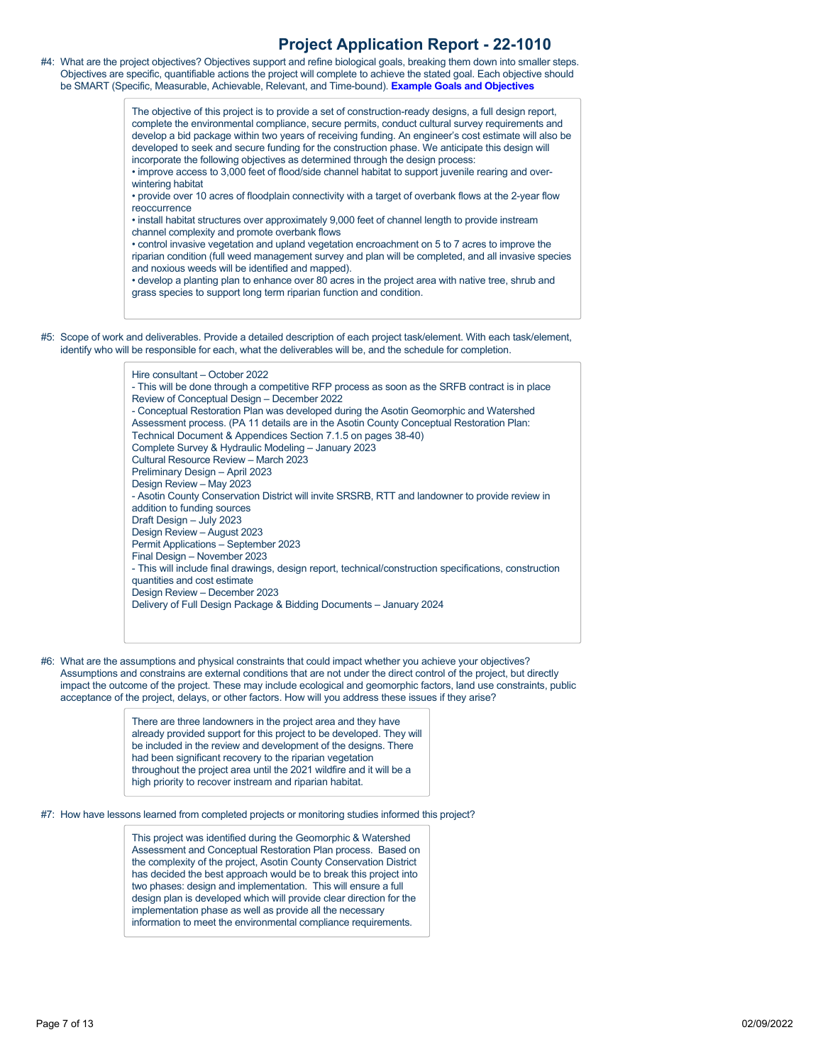#4: What are the project objectives? Objectives support and refine biological goals, breaking them down into smaller steps. Objectives are specific, quantifiable actions the project will complete to achieve the stated goal. Each objective should be SMART (Specific, Measurable, Achievable, Relevant, and Time-bound). **[Example Goals and Objectives](https://rco.wa.gov/wp-content/uploads/2020/02/SRFB-Goals-and-Objectives-Examples.docx)**

> The objective of this project is to provide a set of construction-ready designs, a full design report, complete the environmental compliance, secure permits, conduct cultural survey requirements and develop a bid package within two years of receiving funding. An engineer's cost estimate will also be developed to seek and secure funding for the construction phase. We anticipate this design will incorporate the following objectives as determined through the design process:

• improve access to 3,000 feet of flood/side channel habitat to support juvenile rearing and overwintering habitat

• provide over 10 acres of floodplain connectivity with a target of overbank flows at the 2-year flow reoccurrence

• install habitat structures over approximately 9,000 feet of channel length to provide instream channel complexity and promote overbank flows

• control invasive vegetation and upland vegetation encroachment on 5 to 7 acres to improve the riparian condition (full weed management survey and plan will be completed, and all invasive species and noxious weeds will be identified and mapped).

• develop a planting plan to enhance over 80 acres in the project area with native tree, shrub and grass species to support long term riparian function and condition.

#5: Scope of work and deliverables. Provide a detailed description of each project task/element. With each task/element, identify who will be responsible for each, what the deliverables will be, and the schedule for completion.

> Hire consultant – October 2022 - This will be done through a competitive RFP process as soon as the SRFB contract is in place Review of Conceptual Design – December 2022 - Conceptual Restoration Plan was developed during the Asotin Geomorphic and Watershed Assessment process. (PA 11 details are in the Asotin County Conceptual Restoration Plan: Technical Document & Appendices Section 7.1.5 on pages 38-40) Complete Survey & Hydraulic Modeling – January 2023 Cultural Resource Review – March 2023 Preliminary Design – April 2023 Design Review – May 2023 - Asotin County Conservation District will invite SRSRB, RTT and landowner to provide review in addition to funding sources Draft Design – July 2023 Design Review – August 2023 Permit Applications – September 2023 Final Design – November 2023 - This will include final drawings, design report, technical/construction specifications, construction quantities and cost estimate Design Review – December 2023 Delivery of Full Design Package & Bidding Documents – January 2024

#6: What are the assumptions and physical constraints that could impact whether you achieve your objectives? Assumptions and constrains are external conditions that are not under the direct control of the project, but directly impact the outcome of the project. These may include ecological and geomorphic factors, land use constraints, public acceptance of the project, delays, or other factors. How will you address these issues if they arise?

> There are three landowners in the project area and they have already provided support for this project to be developed. They will be included in the review and development of the designs. There had been significant recovery to the riparian vegetation throughout the project area until the 2021 wildfire and it will be a high priority to recover instream and riparian habitat.

#7: How have lessons learned from completed projects or monitoring studies informed this project?

This project was identified during the Geomorphic & Watershed Assessment and Conceptual Restoration Plan process. Based on the complexity of the project, Asotin County Conservation District has decided the best approach would be to break this project into two phases: design and implementation. This will ensure a full design plan is developed which will provide clear direction for the implementation phase as well as provide all the necessary information to meet the environmental compliance requirements.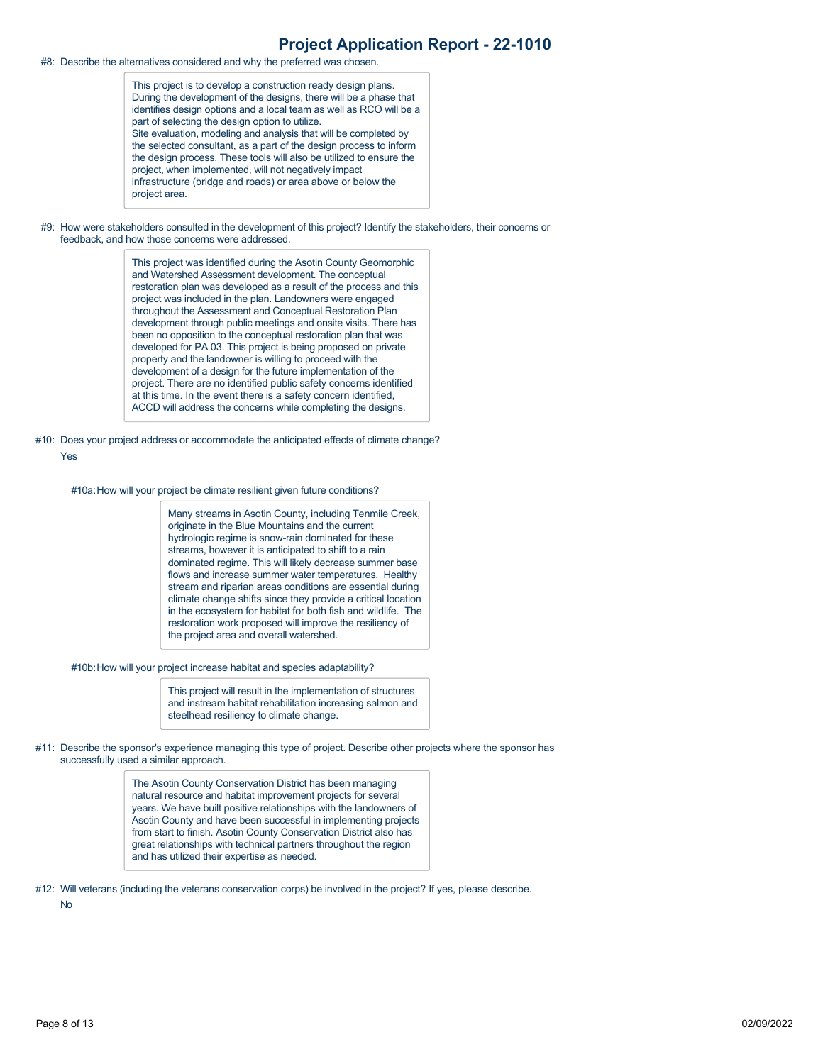#8: Describe the alternatives considered and why the preferred was chosen.

This project is to develop a construction ready design plans. During the development of the designs, there will be a phase that identifies design options and a local team as well as RCO will be a part of selecting the design option to utilize. Site evaluation, modeling and analysis that will be completed by the selected consultant, as a part of the design process to inform the design process. These tools will also be utilized to ensure the project, when implemented, will not negatively impact infrastructure (bridge and roads) or area above or below the project area.

#9: How were stakeholders consulted in the development of this project? Identify the stakeholders, their concerns or feedback, and how those concerns were addressed.

> This project was identified during the Asotin County Geomorphic and Watershed Assessment development. The conceptual restoration plan was developed as a result of the process and this project was included in the plan. Landowners were engaged throughout the Assessment and Conceptual Restoration Plan development through public meetings and onsite visits. There has been no opposition to the conceptual restoration plan that was developed for PA 03. This project is being proposed on private property and the landowner is willing to proceed with the development of a design for the future implementation of the project. There are no identified public safety concerns identified at this time. In the event there is a safety concern identified, ACCD will address the concerns while completing the designs.

#10: Does your project address or accommodate the anticipated effects of climate change? Yes

#10a:How will your project be climate resilient given future conditions?

Many streams in Asotin County, including Tenmile Creek, originate in the Blue Mountains and the current hydrologic regime is snow-rain dominated for these streams, however it is anticipated to shift to a rain dominated regime. This will likely decrease summer base flows and increase summer water temperatures. Healthy stream and riparian areas conditions are essential during climate change shifts since they provide a critical location in the ecosystem for habitat for both fish and wildlife. The restoration work proposed will improve the resiliency of the project area and overall watershed.

#10b:How will your project increase habitat and species adaptability?

This project will result in the implementation of structures and instream habitat rehabilitation increasing salmon and steelhead resiliency to climate change.

#11: Describe the sponsor's experience managing this type of project. Describe other projects where the sponsor has successfully used a similar approach.

> The Asotin County Conservation District has been managing natural resource and habitat improvement projects for several years. We have built positive relationships with the landowners of Asotin County and have been successful in implementing projects from start to finish. Asotin County Conservation District also has great relationships with technical partners throughout the region and has utilized their expertise as needed.

#12: Will veterans (including the veterans conservation corps) be involved in the project? If yes, please describe.

No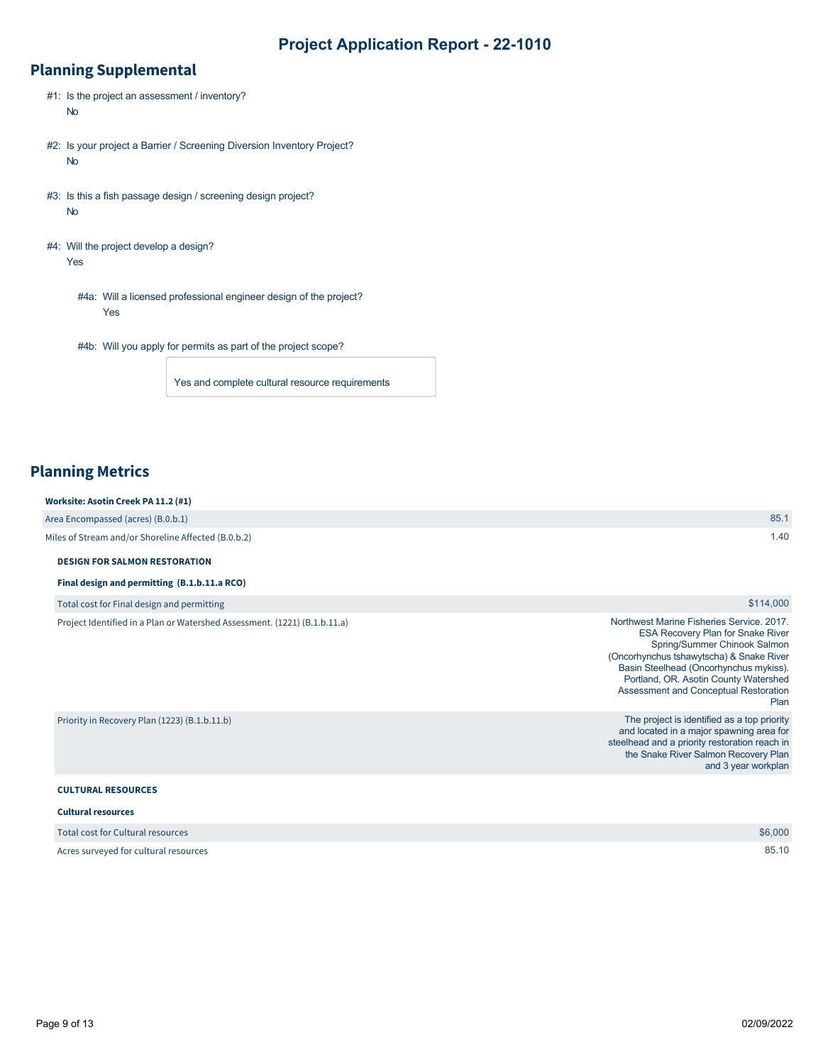## **Planning Supplemental**

- #1: Is the project an assessment / inventory? No
- #2: Is your project a Barrier / Screening Diversion Inventory Project? No
- #3: Is this a fish passage design / screening design project? No
- #4: Will the project develop a design? Yes
	- #4a: Will a licensed professional engineer design of the project? Yes
	- #4b: Will you apply for permits as part of the project scope?

Yes and complete cultural resource requirements

### **Planning Metrics**

#### **Worksite: Asotin Creek PA 11.2 (#1)**

| Area Encompassed (acres) (B.0.b.1)                  | 85.1 |
|-----------------------------------------------------|------|
| Miles of Stream and/or Shoreline Affected (B.0.b.2) | 1.40 |

#### **DESIGN FOR SALMON RESTORATION**

#### **Final design and permitting (B.1.b.11.a RCO)**

Total cost for Final design and permitting

Project Identified in a Plan or Watershed Assessment. (1221) (B.1.b.11.a)

| Project Identified in a Plan or Watershed Assessment. (1221) (B.1.b.11.a) | Northwest Marine Fisheries Service, 2017.<br><b>ESA Recovery Plan for Snake River</b><br>Spring/Summer Chinook Salmon<br>(Oncorhynchus tshawytscha) & Snake River<br>Basin Steelhead (Oncorhynchus mykiss).<br>Portland, OR. Asotin County Watershed<br>Assessment and Conceptual Restoration<br>Plan |
|---------------------------------------------------------------------------|-------------------------------------------------------------------------------------------------------------------------------------------------------------------------------------------------------------------------------------------------------------------------------------------------------|
| Priority in Recovery Plan (1223) (B.1.b.11.b)                             | The project is identified as a top priority<br>and located in a major spawning area for<br>steelhead and a priority restoration reach in<br>the Snake River Salmon Recovery Plan<br>and 3 year workplan                                                                                               |

### **CULTURAL RESOURCES**

#### **Cultural resources**

Total cost for Cultural resources

Acres surveyed for cultural resources

\$6,000

\$114,000

85.10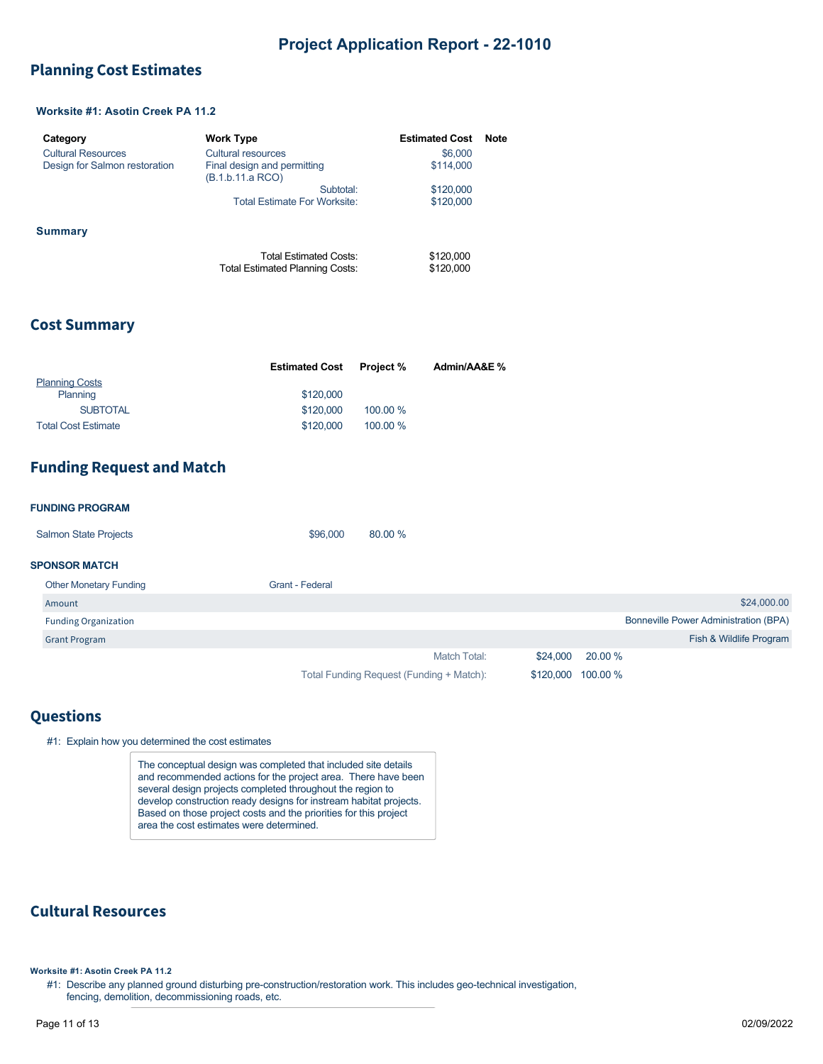## <span id="page-9-0"></span>**Planning Cost Estimates**

### **Worksite #1: Asotin Creek PA 11.2**

| Category                      | <b>Work Type</b>                                          | <b>Estimated Cost</b>  | <b>Note</b> |
|-------------------------------|-----------------------------------------------------------|------------------------|-------------|
| <b>Cultural Resources</b>     | Cultural resources                                        | \$6,000                |             |
| Design for Salmon restoration | Final design and permitting<br>(B.1.b.11.a RCO)           | \$114,000              |             |
|                               | Subtotal:                                                 | \$120,000              |             |
|                               | Total Estimate For Worksite:                              | \$120,000              |             |
| Summary                       |                                                           |                        |             |
|                               | Total Estimated Costs:<br>Total Estimated Planning Costs: | \$120,000<br>\$120,000 |             |

### **Cost Summary**

|                            | <b>Estimated Cost</b> | <b>Project</b> % | Admin/AA&E % |
|----------------------------|-----------------------|------------------|--------------|
| <b>Planning Costs</b>      |                       |                  |              |
| Planning                   | \$120,000             |                  |              |
| <b>SUBTOTAL</b>            | \$120,000             | 100.00 %         |              |
| <b>Total Cost Estimate</b> | \$120,000             | 100.00 %         |              |

### **Funding Request and Match**

#### **FUNDING PROGRAM**

| <b>Salmon State Projects</b> | \$96,000 | 80.00 % |
|------------------------------|----------|---------|
|                              |          |         |

### **SPONSOR MATCH**

| <b>Other Monetary Funding</b> | Grant - Federal                          |                                       |
|-------------------------------|------------------------------------------|---------------------------------------|
| Amount                        |                                          | \$24,000.00                           |
| <b>Funding Organization</b>   |                                          | Bonneville Power Administration (BPA) |
| <b>Grant Program</b>          |                                          | Fish & Wildlife Program               |
|                               | Match Total:                             | 20.00 %<br>\$24.000                   |
|                               | Total Funding Request (Funding + Match): | \$120,000 100.00 %                    |

## **Questions**

|  | #1: Explain how you determined the cost estimates |  |
|--|---------------------------------------------------|--|
|  |                                                   |  |

The conceptual design was completed that included site details and recommended actions for the project area. There have been several design projects completed throughout the region to develop construction ready designs for instream habitat projects. Based on those project costs and the priorities for this project area the cost estimates were determined.

## **Cultural Resources**

**Worksite #1: Asotin Creek PA 11.2**

#1: Describe any planned ground disturbing pre-construction/restoration work. This includes geo-technical investigation, fencing, demolition, decommissioning roads, etc.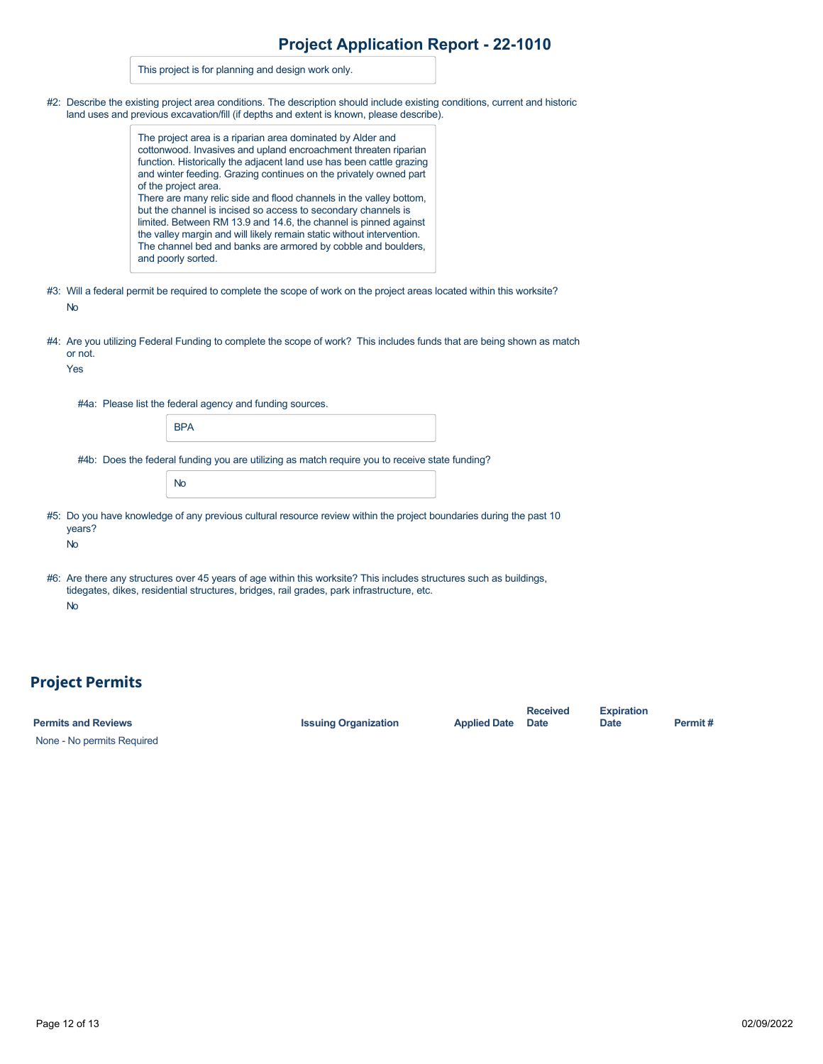|  |  | This project is for planning and design work only. |  |  |
|--|--|----------------------------------------------------|--|--|
|  |  |                                                    |  |  |

#2: Describe the existing project area conditions. The description should include existing conditions, current and historic land uses and previous excavation/fill (if depths and extent is known, please describe).

> The project area is a riparian area dominated by Alder and cottonwood. Invasives and upland encroachment threaten riparian function. Historically the adjacent land use has been cattle grazing and winter feeding. Grazing continues on the privately owned part of the project area. There are many relic side and flood channels in the valley bottom, but the channel is incised so access to secondary channels is limited. Between RM 13.9 and 14.6, the channel is pinned against the valley margin and will likely remain static without intervention. The channel bed and banks are armored by cobble and boulders, and poorly sorted.

- #3: Will a federal permit be required to complete the scope of work on the project areas located within this worksite? No
- #4: Are you utilizing Federal Funding to complete the scope of work? This includes funds that are being shown as match or not.

#4a: Please list the federal agency and funding sources.

**BPA** 

|  |  | #4b: Does the federal funding you are utilizing as match require you to receive state funding? |  |
|--|--|------------------------------------------------------------------------------------------------|--|
|  |  |                                                                                                |  |

| the lead at failurity you are utilizing as in               |
|-------------------------------------------------------------|
| No                                                          |
| المستطلبين المتناولين والمتحدث والمتمالك والمسامر والمتناوب |

#5: Do you have knowledge of any previous cultural resource review within the project boundaries during the past 10 years?

No

Yes

#6: Are there any structures over 45 years of age within this worksite? This includes structures such as buildings, tidegates, dikes, residential structures, bridges, rail grades, park infrastructure, etc. No

## **Project Permits**

| <b>Permits and Reviews</b> | <b>Issuing Organization</b> | <b>Applied Date</b> | <b>Received</b><br><b>Date</b> | <b>Expiration</b><br>Date | Permit# |
|----------------------------|-----------------------------|---------------------|--------------------------------|---------------------------|---------|
| None - No permits Required |                             |                     |                                |                           |         |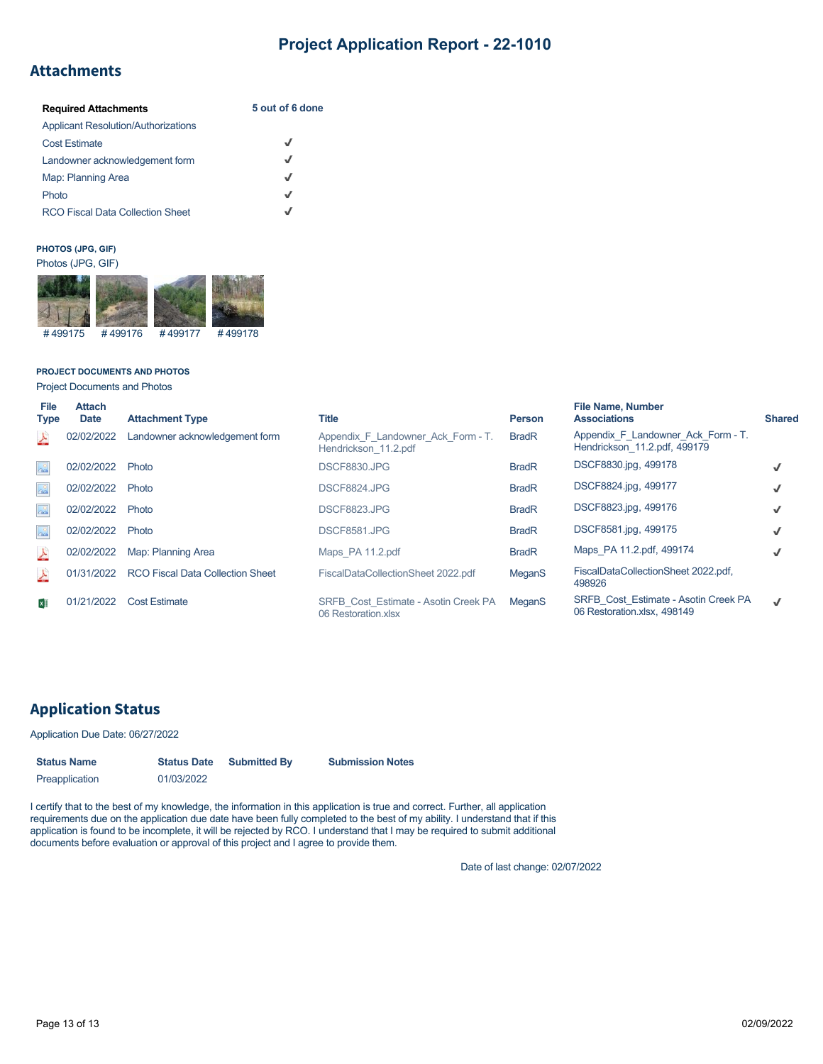### **Attachments**

| <b>Required Attachments</b>                | 5 out of 6 done |
|--------------------------------------------|-----------------|
| <b>Applicant Resolution/Authorizations</b> |                 |
| <b>Cost Estimate</b>                       | √               |
| Landowner acknowledgement form             | J               |
| Map: Planning Area                         | √               |
| Photo                                      | J               |
| <b>RCO Fiscal Data Collection Sheet</b>    |                 |

#### **PHOTOS (JPG, GIF)** Photos (JPG, GIF)



#### **PROJECT DOCUMENTS AND PHOTOS**

Project Documents and Photos

| <b>File</b><br><b>Type</b> | <b>Attach</b><br><b>Date</b> | <b>Attachment Type</b>                  | <b>Title</b>                                                | <b>Person</b> | <b>File Name, Number</b><br><b>Associations</b>                     | <b>Shared</b> |
|----------------------------|------------------------------|-----------------------------------------|-------------------------------------------------------------|---------------|---------------------------------------------------------------------|---------------|
| 스                          | 02/02/2022                   | Landowner acknowledgement form          | Appendix F Landowner Ack Form - T.<br>Hendrickson 11.2.pdf  | <b>BradR</b>  | Appendix F Landowner Ack Form - T.<br>Hendrickson 11.2.pdf, 499179  |               |
| $\frac{1}{2}$              | 02/02/2022                   | Photo                                   | DSCF8830.JPG                                                | <b>BradR</b>  | DSCF8830.jpg, 499178                                                |               |
| $\Delta^0$                 | 02/02/2022                   | Photo                                   | DSCF8824.JPG                                                | <b>BradR</b>  | DSCF8824.jpg, 499177                                                |               |
| $\frac{1}{2}$              | 02/02/2022                   | Photo                                   | DSCF8823.JPG                                                | <b>BradR</b>  | DSCF8823.jpg, 499176                                                |               |
| $\frac{1}{2}$              | 02/02/2022                   | Photo                                   | <b>DSCF8581.JPG</b>                                         | <b>BradR</b>  | DSCF8581.jpg, 499175                                                |               |
| <b>A</b>                   | 02/02/2022                   | Map: Planning Area                      | Maps PA 11.2.pdf                                            | <b>BradR</b>  | Maps PA 11.2.pdf, 499174                                            |               |
| <b>A</b>                   | 01/31/2022                   | <b>RCO Fiscal Data Collection Sheet</b> | FiscalDataCollectionSheet 2022.pdf                          | MeganS        | FiscalDataCollectionSheet 2022.pdf,<br>498926                       |               |
| $x \equiv$                 | 01/21/2022                   | <b>Cost Estimate</b>                    | SRFB Cost Estimate - Asotin Creek PA<br>06 Restoration xlsx | MeganS        | SRFB Cost Estimate - Asotin Creek PA<br>06 Restoration.xlsx, 498149 | J             |

## **Application Status**

#### Application Due Date: 06/27/2022

| <b>Status Name</b> | <b>Status Date</b> | <b>Submitted By</b> | <b>Submission Notes</b> |
|--------------------|--------------------|---------------------|-------------------------|
| Preapplication     | 01/03/2022         |                     |                         |

I certify that to the best of my knowledge, the information in this application is true and correct. Further, all application requirements due on the application due date have been fully completed to the best of my ability. I understand that if this application is found to be incomplete, it will be rejected by RCO. I understand that I may be required to submit additional documents before evaluation or approval of this project and I agree to provide them.

Date of last change: 02/07/2022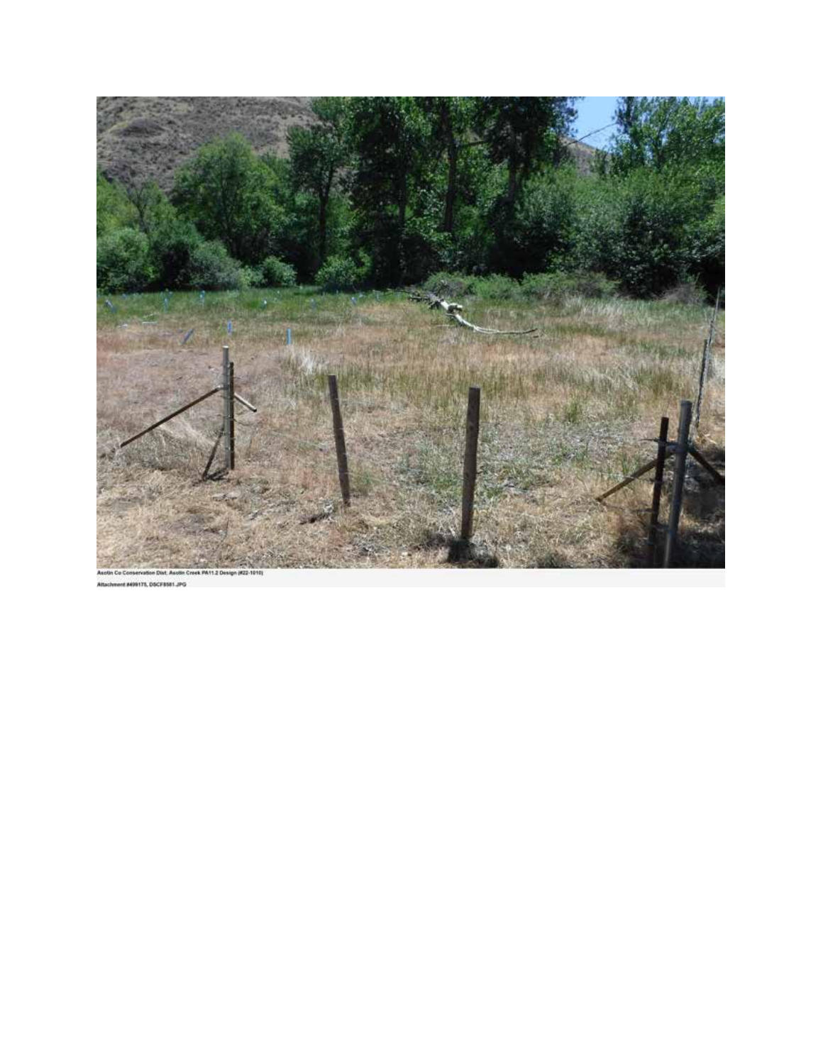

9175, DSCFB581.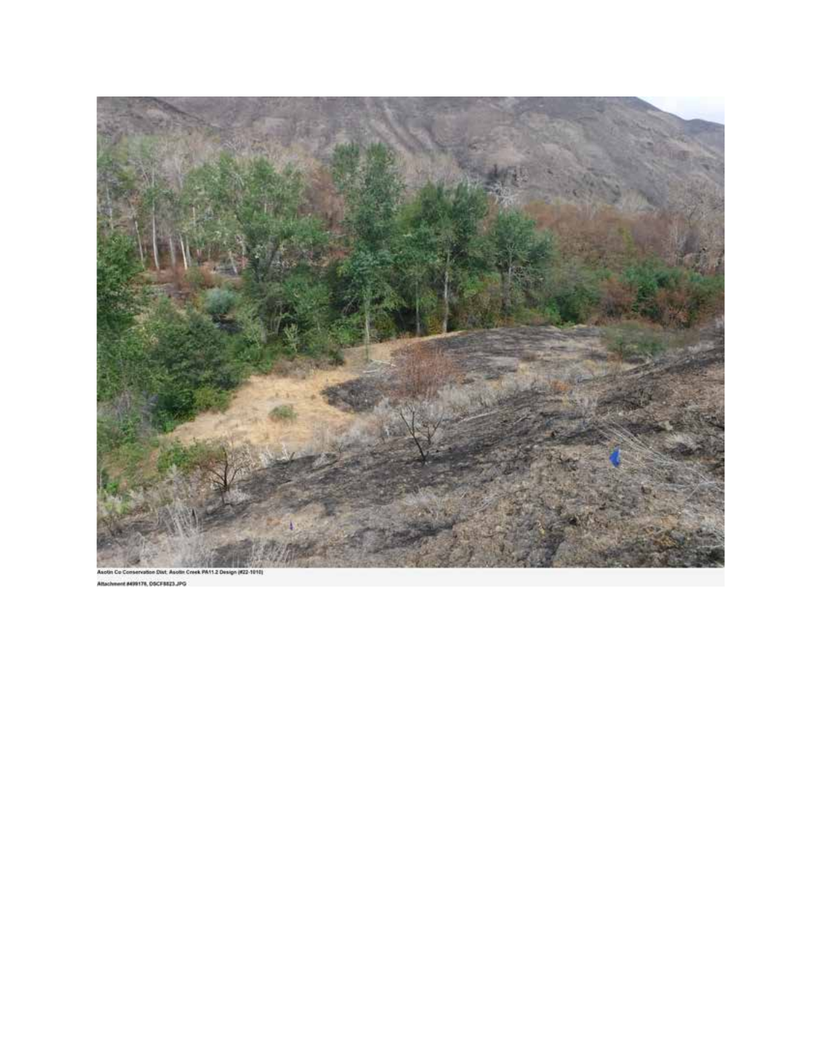

nt #499176, DSCF8823,JPG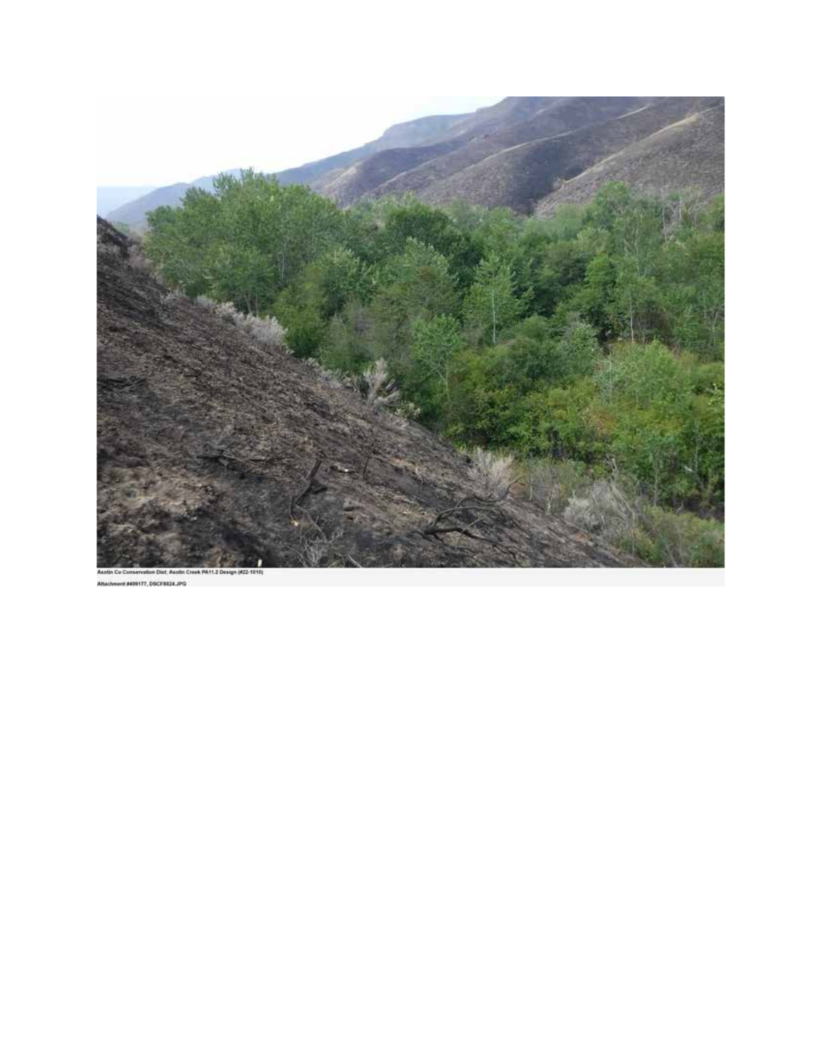

ent MINITT, DSCFBEAUPG AH.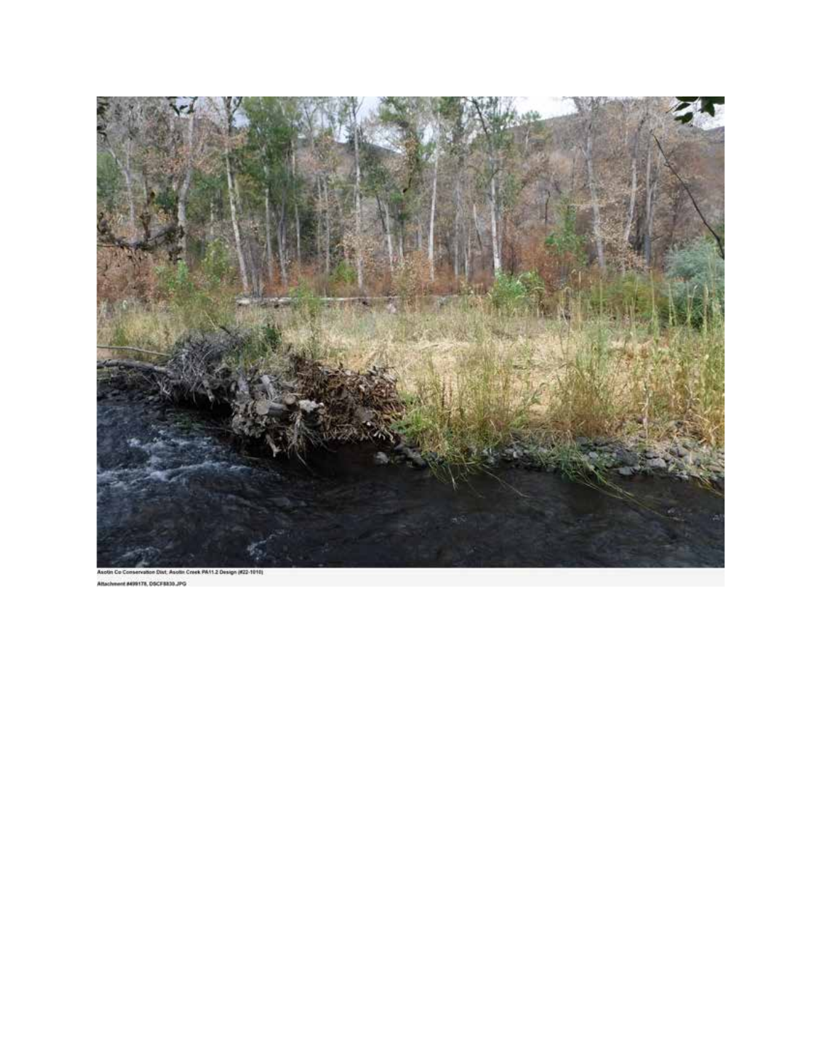

nt MINITE, DSCFBEDS, IPG AH.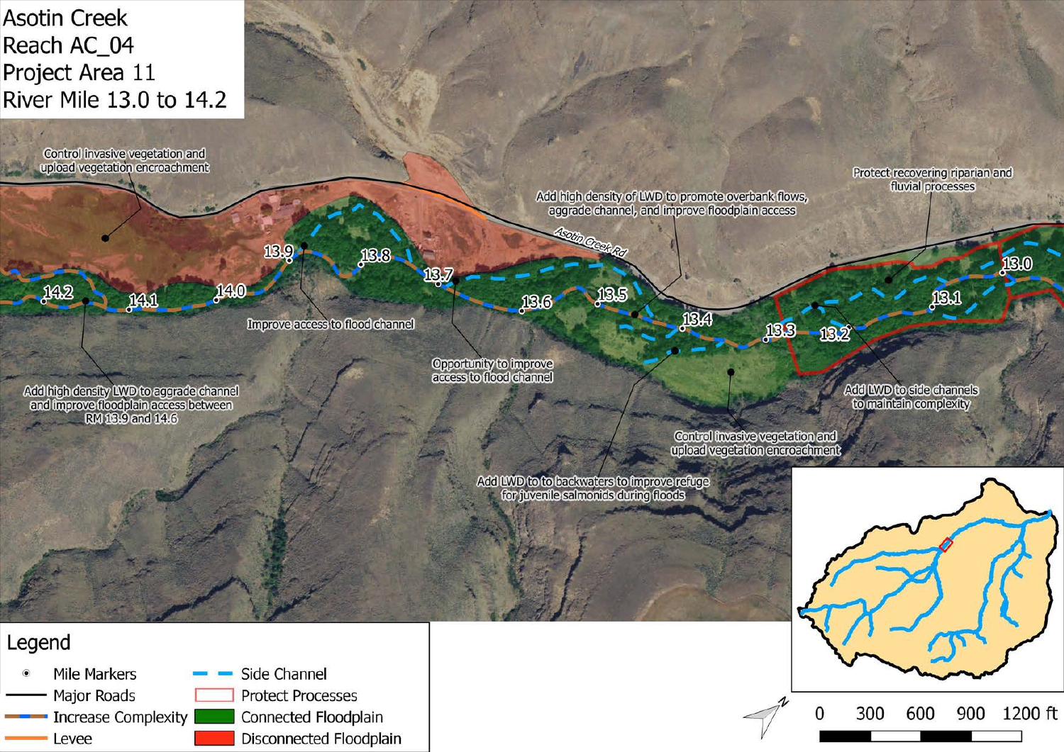

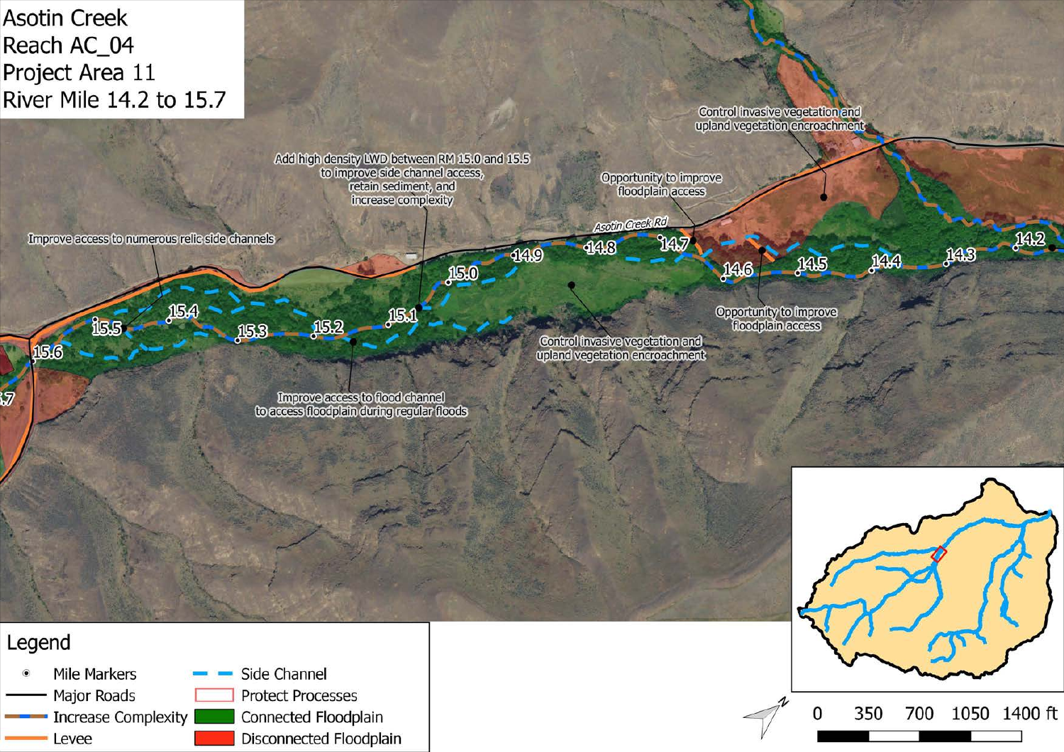